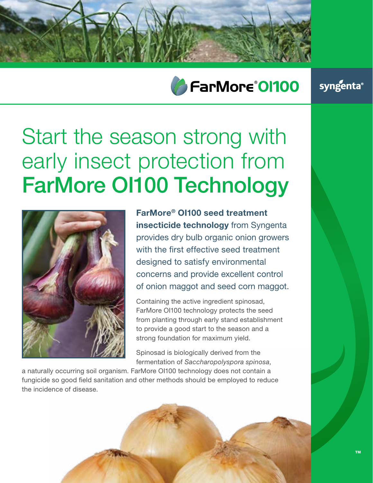

## FarMore®01100

### syngenta®

# Start the season strong with early insect protection from FarMore OI100 Technology



**FarMore® OI100 seed treatment insecticide technology** from Syngenta provides dry bulb organic onion growers with the first effective seed treatment designed to satisfy environmental concerns and provide excellent control of onion maggot and seed corn maggot.

Containing the active ingredient spinosad, FarMore OI100 technology protects the seed from planting through early stand establishment to provide a good start to the season and a strong foundation for maximum yield.

Spinosad is biologically derived from the fermentation of *Saccharopolyspora spinosa*,

a naturally occurring soil organism. FarMore OI100 technology does not contain a fungicide so good field sanitation and other methods should be employed to reduce the incidence of disease.